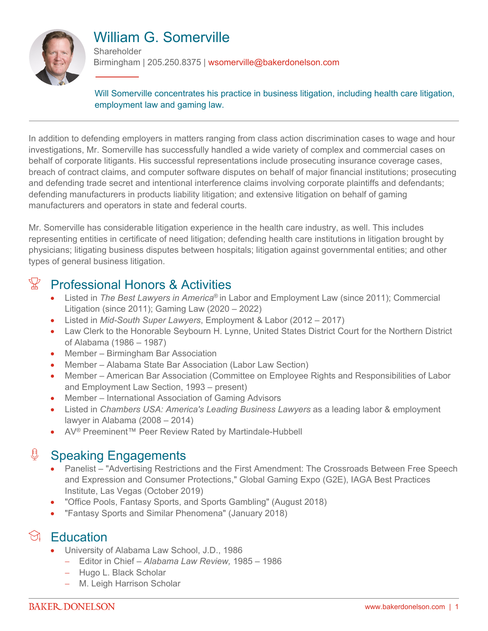

# William G. Somerville

**Shareholder** Birmingham | 205.250.8375 | wsomerville@bakerdonelson.com

Will Somerville concentrates his practice in business litigation, including health care litigation, employment law and gaming law.

In addition to defending employers in matters ranging from class action discrimination cases to wage and hour investigations, Mr. Somerville has successfully handled a wide variety of complex and commercial cases on behalf of corporate litigants. His successful representations include prosecuting insurance coverage cases, breach of contract claims, and computer software disputes on behalf of major financial institutions; prosecuting and defending trade secret and intentional interference claims involving corporate plaintiffs and defendants; defending manufacturers in products liability litigation; and extensive litigation on behalf of gaming manufacturers and operators in state and federal courts.

Mr. Somerville has considerable litigation experience in the health care industry, as well. This includes representing entities in certificate of need litigation; defending health care institutions in litigation brought by physicians; litigating business disputes between hospitals; litigation against governmental entities; and other types of general business litigation.

## $\mathbb{X}$  Professional Honors & Activities

- Listed in *The Best Lawyers in America*® in Labor and Employment Law (since 2011); Commercial Litigation (since 2011); Gaming Law (2020 – 2022)
- Listed in *Mid-South Super Lawyers*, Employment & Labor (2012 2017)
- Law Clerk to the Honorable Seybourn H. Lynne, United States District Court for the Northern District of Alabama (1986 – 1987)
- Member Birmingham Bar Association
- Member Alabama State Bar Association (Labor Law Section)
- Member American Bar Association (Committee on Employee Rights and Responsibilities of Labor and Employment Law Section, 1993 – present)
- Member International Association of Gaming Advisors
- Listed in *Chambers USA: America's Leading Business Lawyers* as a leading labor & employment lawyer in Alabama (2008 – 2014)
- AV® Preeminent™ Peer Review Rated by Martindale-Hubbell

#### ₿ Speaking Engagements

- Panelist "Advertising Restrictions and the First Amendment: The Crossroads Between Free Speech and Expression and Consumer Protections," Global Gaming Expo (G2E), IAGA Best Practices Institute, Las Vegas (October 2019)
- "Office Pools, Fantasy Sports, and Sports Gambling" (August 2018)
- "Fantasy Sports and Similar Phenomena" (January 2018)

## $\Im$  Education

- University of Alabama Law School, J.D., 1986
	- Editor in Chief *Alabama Law Review,* 1985 1986
	- Hugo L. Black Scholar
	- M. Leigh Harrison Scholar